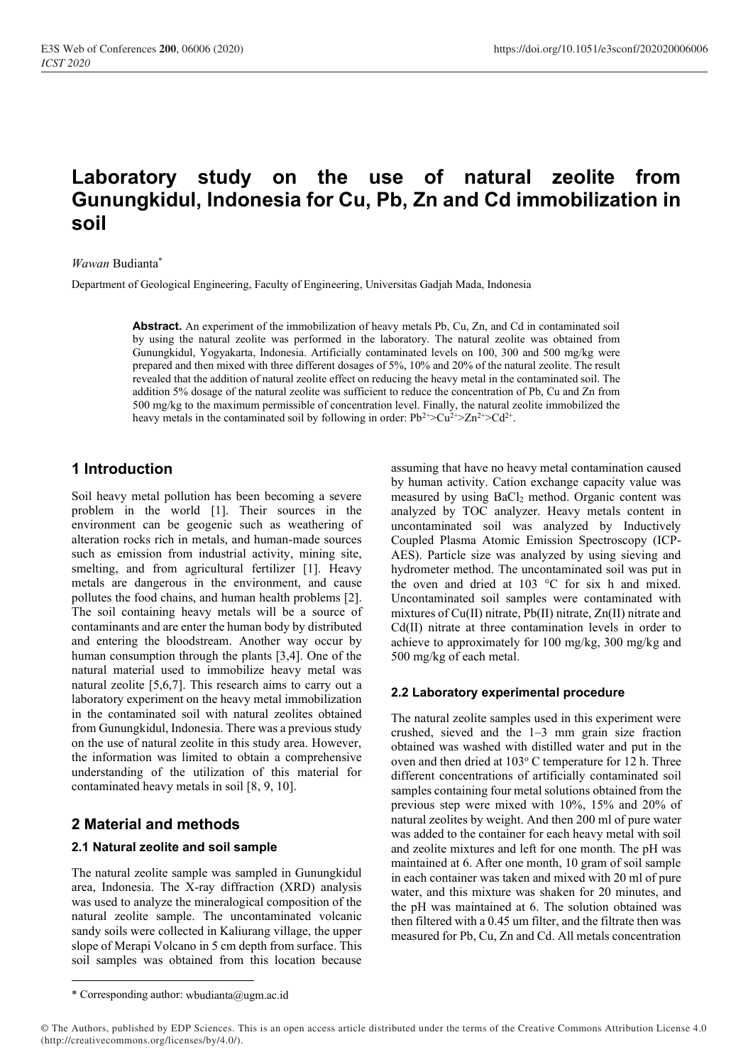# **Laboratory study on the use of natural zeolite from Gunungkidul, Indonesia for Cu, Pb, Zn and Cd immobilization in soil**

*Wawan* Budianta\*

Department of Geological Engineering, Faculty of Engineering, Universitas Gadjah Mada, Indonesia

**Abstract.** An experiment of the immobilization of heavy metals Pb, Cu, Zn, and Cd in contaminated soil by using the natural zeolite was performed in the laboratory. The natural zeolite was obtained from Gunungkidul, Yogyakarta, Indonesia. Artificially contaminated levels on 100, 300 and 500 mg/kg were prepared and then mixed with three different dosages of 5%, 10% and 20% of the natural zeolite. The result revealed that the addition of natural zeolite effect on reducing the heavy metal in the contaminated soil. The addition 5% dosage of the natural zeolite was sufficient to reduce the concentration of Pb, Cu and Zn from 500 mg/kg to the maximum permissible of concentration level. Finally, the natural zeolite immobilized the heavy metals in the contaminated soil by following in order:  $Pb^{2+} > Cu^{2+} > Zn^{2+} > Cd^{2+}$ .

# **1 Introduction**

Soil heavy metal pollution has been becoming a severe problem in the world [1]. Their sources in the environment can be geogenic such as weathering of alteration rocks rich in metals, and human-made sources such as emission from industrial activity, mining site, smelting, and from agricultural fertilizer [1]. Heavy metals are dangerous in the environment, and cause pollutes the food chains, and human health problems [2]. The soil containing heavy metals will be a source of contaminants and are enter the human body by distributed and entering the bloodstream. Another way occur by human consumption through the plants [3,4]. One of the natural material used to immobilize heavy metal was natural zeolite [5,6,7]. This research aims to carry out a laboratory experiment on the heavy metal immobilization in the contaminated soil with natural zeolites obtained from Gunungkidul, Indonesia. There was a previous study on the use of natural zeolite in this study area. However, the information was limited to obtain a comprehensive understanding of the utilization of this material for contaminated heavy metals in soil [8, 9, 10].

# **2 Material and methods**

### **2.1 Natural zeolite and soil sample**

The natural zeolite sample was sampled in Gunungkidul area, Indonesia. The X-ray diffraction (XRD) analysis was used to analyze the mineralogical composition of the natural zeolite sample. The uncontaminated volcanic sandy soils were collected in Kaliurang village, the upper slope of Merapi Volcano in 5 cm depth from surface. This soil samples was obtained from this location because

assuming that have no heavy metal contamination caused by human activity. Cation exchange capacity value was measured by using BaCl<sub>2</sub> method. Organic content was analyzed by TOC analyzer. Heavy metals content in uncontaminated soil was analyzed by Inductively Coupled Plasma Atomic Emission Spectroscopy (ICP-AES). Particle size was analyzed by using sieving and hydrometer method. The uncontaminated soil was put in the oven and dried at 103 °C for six h and mixed. Uncontaminated soil samples were contaminated with mixtures of Cu(II) nitrate, Pb(II) nitrate, Zn(II) nitrate and Cd(II) nitrate at three contamination levels in order to achieve to approximately for 100 mg/kg, 300 mg/kg and 500 mg/kg of each metal.

### **2.2 Laboratory experimental procedure**

The natural zeolite samples used in this experiment were crushed, sieved and the 1–3 mm grain size fraction obtained was washed with distilled water and put in the oven and then dried at  $103^{\circ}$  C temperature for 12 h. Three different concentrations of artificially contaminated soil samples containing four metal solutions obtained from the previous step were mixed with 10%, 15% and 20% of natural zeolites by weight. And then 200 ml of pure water was added to the container for each heavy metal with soil and zeolite mixtures and left for one month. The pH was maintained at 6. After one month, 10 gram of soil sample in each container was taken and mixed with 20 ml of pure water, and this mixture was shaken for 20 minutes, and the pH was maintained at 6. The solution obtained was then filtered with a 0.45 um filter, and the filtrate then was measured for Pb, Cu, Zn and Cd. All metals concentration

<sup>\*</sup> Corresponding author: wbudianta@ugm.ac.id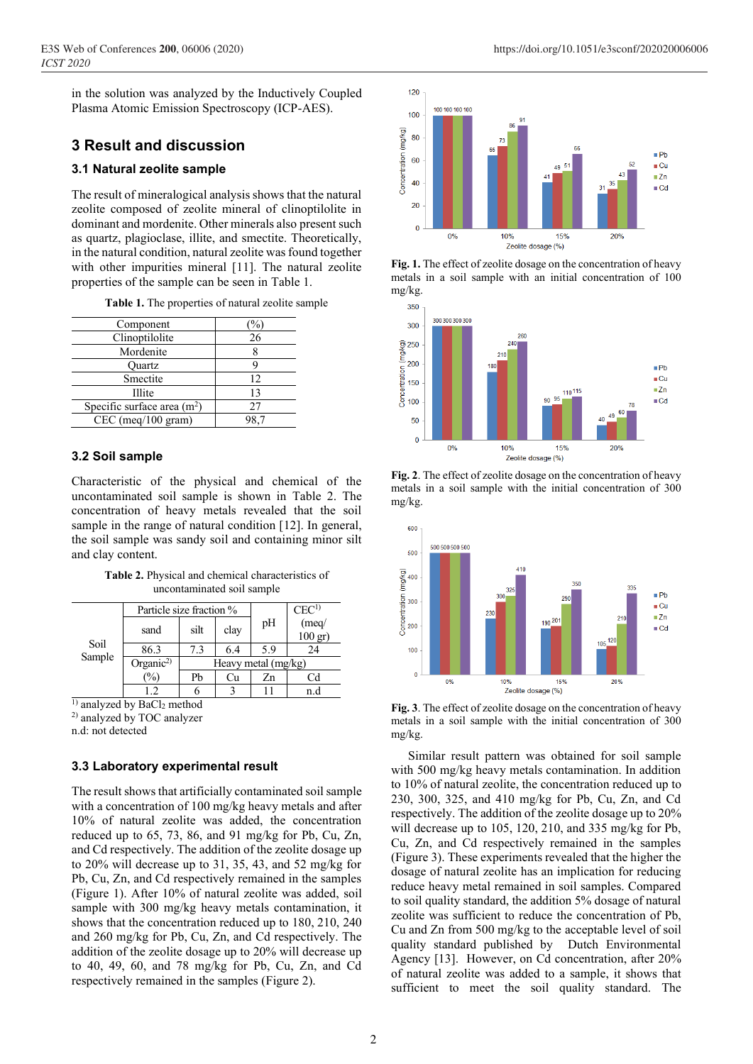in the solution was analyzed by the Inductively Coupled Plasma Atomic Emission Spectroscopy (ICP-AES).

# **3 Result and discussion**

## **3.1 Natural zeolite sample**

The result of mineralogical analysis shows that the natural zeolite composed of zeolite mineral of clinoptilolite in dominant and mordenite. Other minerals also present such as quartz, plagioclase, illite, and smectite. Theoretically, in the natural condition, natural zeolite was found together with other impurities mineral [11]. The natural zeolite properties of the sample can be seen in Table 1.

| Table 1. The properties of natural zeolite sample |  |
|---------------------------------------------------|--|
|---------------------------------------------------|--|

| Component                    |    |
|------------------------------|----|
| Clinoptilolite               | 26 |
| Mordenite                    |    |
| Ouartz                       |    |
| Smectite                     | 12 |
| <b>Illite</b>                | 13 |
| Specific surface area $(m2)$ | 27 |
| $CEC$ (meq/100 gram)         |    |

## **3.2 Soil sample**

Characteristic of the physical and chemical of the uncontaminated soil sample is shown in Table 2. The concentration of heavy metals revealed that the soil sample in the range of natural condition [12]. In general, the soil sample was sandy soil and containing minor silt and clay content.

**Table 2.** Physical and chemical characteristics of uncontaminated soil sample

| Soil<br>Sample | Particle size fraction % |                       |      |     | CEC <sup>1</sup>          |
|----------------|--------------------------|-----------------------|------|-----|---------------------------|
|                | sand                     | silt                  | clay | pH  | (meq)<br>$100 \text{ gr}$ |
|                | 86.3                     | 7.3                   | 6.4  | 5.9 | 24                        |
|                | Organic <sup>2)</sup>    | Heavy metal $(mg/kg)$ |      |     |                           |
|                | $\frac{1}{2}$            | Pb                    | Сu   | Zn  |                           |
|                |                          |                       |      |     | n.d                       |

 $\overline{1}$ ) analyzed by BaCl<sub>2</sub> method

2) analyzed by TOC analyzer

n.d: not detected

### **3.3 Laboratory experimental result**

The result shows that artificially contaminated soil sample with a concentration of 100 mg/kg heavy metals and after 10% of natural zeolite was added, the concentration reduced up to 65, 73, 86, and 91 mg/kg for Pb, Cu, Zn, and Cd respectively. The addition of the zeolite dosage up to 20% will decrease up to 31, 35, 43, and 52 mg/kg for Pb, Cu, Zn, and Cd respectively remained in the samples (Figure 1). After 10% of natural zeolite was added, soil sample with 300 mg/kg heavy metals contamination, it shows that the concentration reduced up to 180, 210, 240 and 260 mg/kg for Pb, Cu, Zn, and Cd respectively. The addition of the zeolite dosage up to 20% will decrease up to 40, 49, 60, and 78 mg/kg for Pb, Cu, Zn, and Cd respectively remained in the samples (Figure 2).



**Fig. 1.** The effect of zeolite dosage on the concentration of heavy metals in a soil sample with an initial concentration of 100 mg/kg.



**Fig. 2**. The effect of zeolite dosage on the concentration of heavy metals in a soil sample with the initial concentration of 300 mg/kg.



**Fig. 3**. The effect of zeolite dosage on the concentration of heavy metals in a soil sample with the initial concentration of 300 mg/kg.

Similar result pattern was obtained for soil sample with 500 mg/kg heavy metals contamination. In addition to 10% of natural zeolite, the concentration reduced up to 230, 300, 325, and 410 mg/kg for Pb, Cu, Zn, and Cd respectively. The addition of the zeolite dosage up to 20% will decrease up to 105, 120, 210, and 335 mg/kg for Pb, Cu, Zn, and Cd respectively remained in the samples (Figure 3). These experiments revealed that the higher the dosage of natural zeolite has an implication for reducing reduce heavy metal remained in soil samples. Compared to soil quality standard, the addition 5% dosage of natural zeolite was sufficient to reduce the concentration of Pb, Cu and Zn from 500 mg/kg to the acceptable level of soil quality standard published by Dutch Environmental Agency [13]. However, on Cd concentration, after 20% of natural zeolite was added to a sample, it shows that sufficient to meet the soil quality standard. The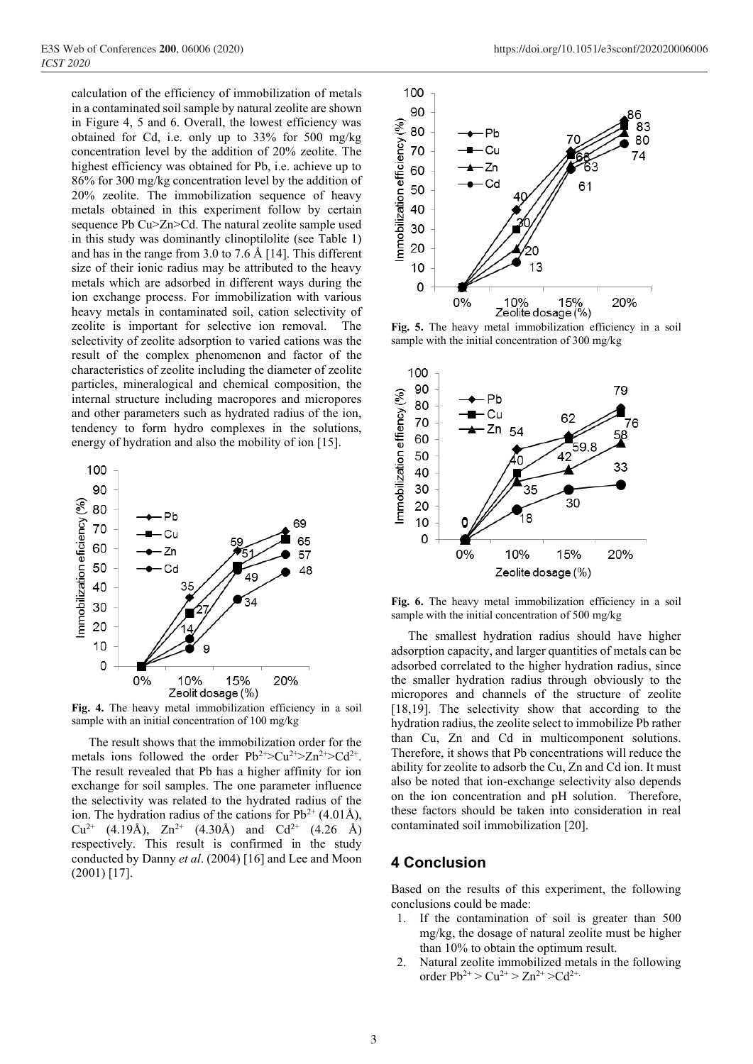calculation of the efficiency of immobilization of metals in a contaminated soil sample by natural zeolite are shown in Figure 4, 5 and 6. Overall, the lowest efficiency was obtained for Cd, i.e. only up to 33% for 500 mg/kg concentration level by the addition of 20% zeolite. The highest efficiency was obtained for Pb, i.e. achieve up to 86% for 300 mg/kg concentration level by the addition of 20% zeolite. The immobilization sequence of heavy metals obtained in this experiment follow by certain sequence Pb Cu>Zn>Cd. The natural zeolite sample used in this study was dominantly clinoptilolite (see Table 1) and has in the range from 3.0 to 7.6 Å [14]. This different size of their ionic radius may be attributed to the heavy metals which are adsorbed in different ways during the ion exchange process. For immobilization with various heavy metals in contaminated soil, cation selectivity of zeolite is important for selective ion removal. The selectivity of zeolite adsorption to varied cations was the result of the complex phenomenon and factor of the characteristics of zeolite including the diameter of zeolite particles, mineralogical and chemical composition, the internal structure including macropores and micropores and other parameters such as hydrated radius of the ion, tendency to form hydro complexes in the solutions, energy of hydration and also the mobility of ion [15].



**Fig. 4.** The heavy metal immobilization efficiency in a soil sample with an initial concentration of 100 mg/kg

The result shows that the immobilization order for the metals ions followed the order  $Pb^{2+} > Cu^{2+} > Zn^{2+} > Cd^{2+}$ . The result revealed that Pb has a higher affinity for ion exchange for soil samples. The one parameter influence the selectivity was related to the hydrated radius of the ion. The hydration radius of the cations for  $Pb^{2+}$  (4.01Å),  $Cu^{2+}$  (4.19Å),  $Zn^{2+}$  (4.30Å) and  $Cd^{2+}$  (4.26 Å) respectively. This result is confirmed in the study conducted by Danny *et al*. (2004) [16] and Lee and Moon (2001) [17].



**Fig. 5.** The heavy metal immobilization efficiency in a soil sample with the initial concentration of 300 mg/kg



**Fig. 6.** The heavy metal immobilization efficiency in a soil sample with the initial concentration of 500 mg/kg

The smallest hydration radius should have higher adsorption capacity, and larger quantities of metals can be adsorbed correlated to the higher hydration radius, since the smaller hydration radius through obviously to the micropores and channels of the structure of zeolite [18,19]. The selectivity show that according to the hydration radius, the zeolite select to immobilize Pb rather than Cu, Zn and Cd in multicomponent solutions. Therefore, it shows that Pb concentrations will reduce the ability for zeolite to adsorb the Cu, Zn and Cd ion. It must also be noted that ion-exchange selectivity also depends on the ion concentration and pH solution. Therefore, these factors should be taken into consideration in real contaminated soil immobilization [20].

### **4 Conclusion**

Based on the results of this experiment, the following conclusions could be made:

- 1. If the contamination of soil is greater than 500 mg/kg, the dosage of natural zeolite must be higher than 10% to obtain the optimum result.
- 2. Natural zeolite immobilized metals in the following order  $Pb^{2+} > Cu^{2+} > Zn^{2+} > Cd^{2+}$ .